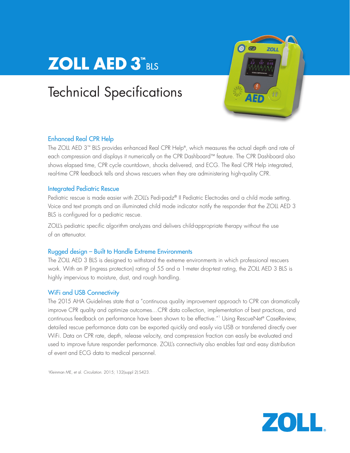# **ZOLL AED 3"BLS**

## Technical Specifications



## Enhanced Real CPR Help

The ZOLL AED 3™ BLS provides enhanced Real CPR Help®, which measures the actual depth and rate of each compression and displays it numerically on the CPR Dashboard™ feature. The CPR Dashboard also shows elapsed time, CPR cycle countdown, shocks delivered, and ECG. The Real CPR Help integrated, real-time CPR feedback tells and shows rescuers when they are administering high-quality CPR.

## Integrated Pediatric Rescue

Pediatric rescue is made easier with ZOLL's Pedi-padz® II Pediatric Electrodes and a child mode setting. Voice and text prompts and an illuminated child mode indicator notify the responder that the ZOLL AED 3 BLS is configured for a pediatric rescue.

ZOLL's pediatric specific algorithm analyzes and delivers child-appropriate therapy without the use of an attenuator.

## Rugged design – Built to Handle Extreme Environments

The ZOLL AED 3 BLS is designed to withstand the extreme environments in which professional rescuers work. With an IP (ingress protection) rating of 55 and a 1-meter drop-test rating, the ZOLL AED 3 BLS is highly impervious to moisture, dust, and rough handling.

## WiFi and USB Connectivity

The 2015 AHA Guidelines state that a "continuous quality improvement approach to CPR can dramatically improve CPR quality and optimize outcomes…CPR data collection, implementation of best practices, and continuous feedback on performance have been shown to be effective."1 Using RescueNet® CaseReview, detailed rescue performance data can be exported quickly and easily via USB or transferred directly over WiFi. Data on CPR rate, depth, release velocity, and compression fraction can easily be evaluated and used to improve future responder performance. ZOLL's connectivity also enables fast and easy distribution of event and ECG data to medical personnel.

1Kleinman ME, et al. *Circulation*. 2015; 132(suppl 2):S423.